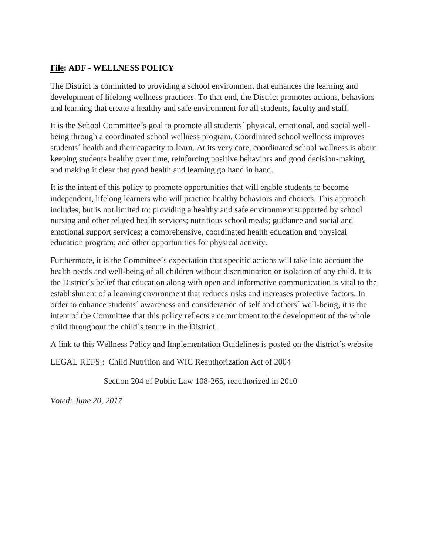# **File: ADF - WELLNESS POLICY**

The District is committed to providing a school environment that enhances the learning and development of lifelong wellness practices. To that end, the District promotes actions, behaviors and learning that create a healthy and safe environment for all students, faculty and staff.

It is the School Committee´s goal to promote all students´ physical, emotional, and social wellbeing through a coordinated school wellness program. Coordinated school wellness improves students´ health and their capacity to learn. At its very core, coordinated school wellness is about keeping students healthy over time, reinforcing positive behaviors and good decision-making, and making it clear that good health and learning go hand in hand.

It is the intent of this policy to promote opportunities that will enable students to become independent, lifelong learners who will practice healthy behaviors and choices. This approach includes, but is not limited to: providing a healthy and safe environment supported by school nursing and other related health services; nutritious school meals; guidance and social and emotional support services; a comprehensive, coordinated health education and physical education program; and other opportunities for physical activity.

Furthermore, it is the Committee´s expectation that specific actions will take into account the health needs and well-being of all children without discrimination or isolation of any child. It is the District´s belief that education along with open and informative communication is vital to the establishment of a learning environment that reduces risks and increases protective factors. In order to enhance students´ awareness and consideration of self and others´ well-being, it is the intent of the Committee that this policy reflects a commitment to the development of the whole child throughout the child´s tenure in the District.

A link to this Wellness Policy and Implementation Guidelines is posted on the district's website

LEGAL REFS.: Child Nutrition and WIC Reauthorization Act of 2004

Section 204 of Public Law 108-265, reauthorized in 2010

*Voted: June 20, 2017*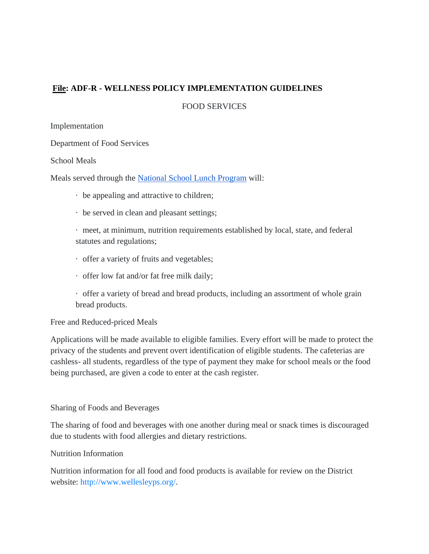# **File: ADF-R - WELLNESS POLICY IMPLEMENTATION GUIDELINES**

FOOD SERVICES

Implementation

Department of Food Services

School Meals

Meals served through the [National School Lunch Program](https://www.fns.usda.gov/nslp) will:

- · be appealing and attractive to children;
- · be served in clean and pleasant settings;

· meet, at minimum, nutrition requirements established by local, state, and federal statutes and regulations;

- · offer a variety of fruits and vegetables;
- · offer low fat and/or fat free milk daily;
- · offer a variety of bread and bread products, including an assortment of whole grain bread products.

### Free and Reduced-priced Meals

Applications will be made available to eligible families. Every effort will be made to protect the privacy of the students and prevent overt identification of eligible students. The cafeterias are cashless- all students, regardless of the type of payment they make for school meals or the food being purchased, are given a code to enter at the cash register.

### Sharing of Foods and Beverages

The sharing of food and beverages with one another during meal or snack times is discouraged due to students with food allergies and dietary restrictions.

### Nutrition Information

Nutrition information for all food and food products is available for review on the District website: [http://www.wellesleyps.org/.](http://www.wellesleyps.org/)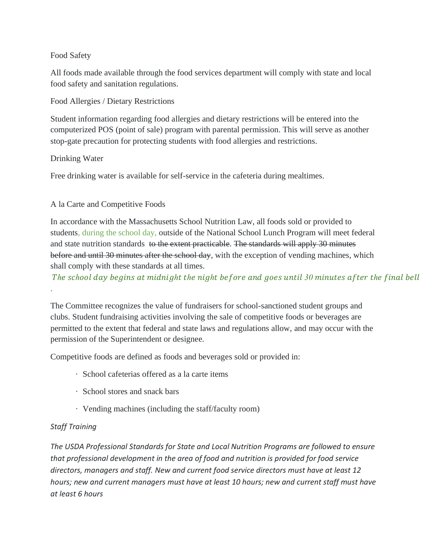# Food Safety

All foods made available through the food services department will comply with state and local food safety and sanitation regulations.

Food Allergies / Dietary Restrictions

Student information regarding food allergies and dietary restrictions will be entered into the computerized POS (point of sale) program with parental permission. This will serve as another stop-gate precaution for protecting students with food allergies and restrictions.

# Drinking Water

Free drinking water is available for self-service in the cafeteria during mealtimes.

# A la Carte and Competitive Foods

In accordance with the Massachusetts School Nutrition Law, all foods sold or provided to students, during the school day, outside of the National School Lunch Program will meet federal and state nutrition standards to the extent practicable. The standards will apply 30 minutes before and until 30 minutes after the school day, with the exception of vending machines, which shall comply with these standards at all times.

*The school day begins at midnight the night before and goes until 30 minutes after the final bell* 

The Committee recognizes the value of fundraisers for school-sanctioned student groups and clubs. Student fundraising activities involving the sale of competitive foods or beverages are permitted to the extent that federal and state laws and regulations allow, and may occur with the permission of the Superintendent or designee.

Competitive foods are defined as foods and beverages sold or provided in:

- · School cafeterias offered as a la carte items
- · School stores and snack bars
- · Vending machines (including the staff/faculty room)

# *Staff Training*

.

*The USDA Professional Standards for State and Local Nutrition Programs are followed to ensure that professional development in the area of food and nutrition is provided for food service directors, managers and staff. New and current food service directors must have at least 12 hours; new and current managers must have at least 10 hours; new and current staff must have at least 6 hours*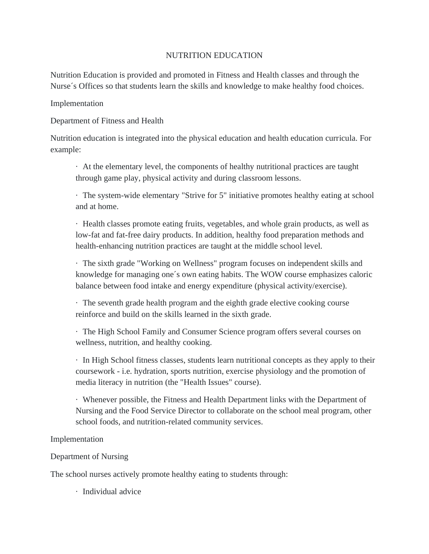# NUTRITION EDUCATION

Nutrition Education is provided and promoted in Fitness and Health classes and through the Nurse´s Offices so that students learn the skills and knowledge to make healthy food choices.

### Implementation

Department of Fitness and Health

Nutrition education is integrated into the physical education and health education curricula. For example:

· At the elementary level, the components of healthy nutritional practices are taught through game play, physical activity and during classroom lessons.

· The system-wide elementary "Strive for 5" initiative promotes healthy eating at school and at home.

· Health classes promote eating fruits, vegetables, and whole grain products, as well as low-fat and fat-free dairy products. In addition, healthy food preparation methods and health-enhancing nutrition practices are taught at the middle school level.

· The sixth grade "Working on Wellness" program focuses on independent skills and knowledge for managing one´s own eating habits. The WOW course emphasizes caloric balance between food intake and energy expenditure (physical activity/exercise).

· The seventh grade health program and the eighth grade elective cooking course reinforce and build on the skills learned in the sixth grade.

· The High School Family and Consumer Science program offers several courses on wellness, nutrition, and healthy cooking.

· In High School fitness classes, students learn nutritional concepts as they apply to their coursework - i.e. hydration, sports nutrition, exercise physiology and the promotion of media literacy in nutrition (the "Health Issues" course).

· Whenever possible, the Fitness and Health Department links with the Department of Nursing and the Food Service Director to collaborate on the school meal program, other school foods, and nutrition-related community services.

### Implementation

Department of Nursing

The school nurses actively promote healthy eating to students through:

· Individual advice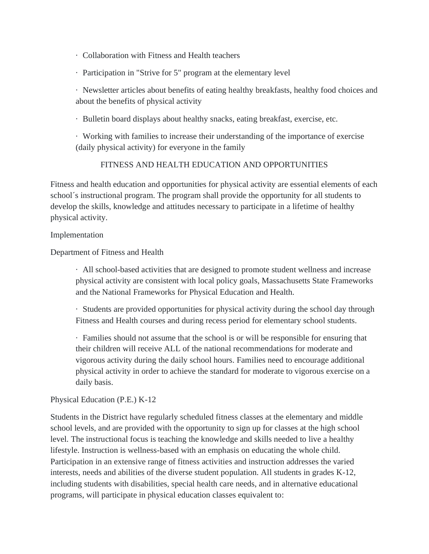- · Collaboration with Fitness and Health teachers
- · Participation in "Strive for 5" program at the elementary level

· Newsletter articles about benefits of eating healthy breakfasts, healthy food choices and about the benefits of physical activity

· Bulletin board displays about healthy snacks, eating breakfast, exercise, etc.

· Working with families to increase their understanding of the importance of exercise (daily physical activity) for everyone in the family

# FITNESS AND HEALTH EDUCATION AND OPPORTUNITIES

Fitness and health education and opportunities for physical activity are essential elements of each school´s instructional program. The program shall provide the opportunity for all students to develop the skills, knowledge and attitudes necessary to participate in a lifetime of healthy physical activity.

### Implementation

Department of Fitness and Health

· All school-based activities that are designed to promote student wellness and increase physical activity are consistent with local policy goals, Massachusetts State Frameworks and the National Frameworks for Physical Education and Health.

· Students are provided opportunities for physical activity during the school day through Fitness and Health courses and during recess period for elementary school students.

· Families should not assume that the school is or will be responsible for ensuring that their children will receive ALL of the national recommendations for moderate and vigorous activity during the daily school hours. Families need to encourage additional physical activity in order to achieve the standard for moderate to vigorous exercise on a daily basis.

# Physical Education (P.E.) K-12

Students in the District have regularly scheduled fitness classes at the elementary and middle school levels, and are provided with the opportunity to sign up for classes at the high school level. The instructional focus is teaching the knowledge and skills needed to live a healthy lifestyle. Instruction is wellness-based with an emphasis on educating the whole child. Participation in an extensive range of fitness activities and instruction addresses the varied interests, needs and abilities of the diverse student population. All students in grades K-12, including students with disabilities, special health care needs, and in alternative educational programs, will participate in physical education classes equivalent to: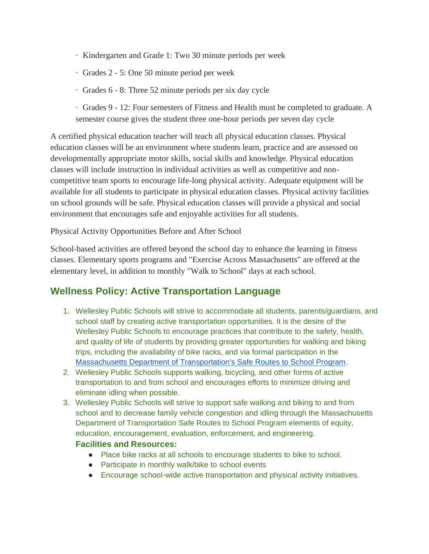- · Kindergarten and Grade 1: Two 30 minute periods per week
- · Grades 2 5: One 50 minute period per week
- · Grades 6 8: Three 52 minute periods per six day cycle
- · Grades 9 12: Four semesters of Fitness and Health must be completed to graduate. A semester course gives the student three one-hour periods per seven day cycle

A certified physical education teacher will teach all physical education classes. Physical education classes will be an environment where students learn, practice and are assessed on developmentally appropriate motor skills, social skills and knowledge. Physical education classes will include instruction in individual activities as well as competitive and noncompetitive team sports to encourage life-long physical activity. Adequate equipment will be available for all students to participate in physical education classes. Physical activity facilities on school grounds will be safe. Physical education classes will provide a physical and social environment that encourages safe and enjoyable activities for all students.

Physical Activity Opportunities Before and After School

School-based activities are offered beyond the school day to enhance the learning in fitness classes. Elementary sports programs and "Exercise Across Massachusetts" are offered at the elementary level, in addition to monthly "Walk to School" days at each school.

# **Wellness Policy: Active Transportation Language**

- 1. Wellesley Public Schools will strive to accommodate all students, parents/guardians, and school staff by creating active transportation opportunities. It is the desire of the Wellesley Public Schools to encourage practices that contribute to the safety, health, and quality of life of students by providing greater opportunities for walking and biking trips, including the availability of bike racks, and via formal participation in the [Massachusetts Department of Transportation's Safe Routes to School Program.](https://www.mass.gov/safe-routes-to-school#:~:text=The%20Massachusetts%20Safe%20Routes%20to,gap%20between%20health%20and%20transportation.)
- 2. Wellesley Public Schools supports walking, bicycling, and other forms of active transportation to and from school and encourages efforts to minimize driving and eliminate idling when possible.
- 3. Wellesley Public Schools will strive to support safe walking and biking to and from school and to decrease family vehicle congestion and idling through the Massachusetts Department of Transportation Safe Routes to School Program elements of equity, education, encouragement, evaluation, enforcement, and engineering.

# **Facilities and Resources:**

- Place bike racks at all schools to encourage students to bike to school.
- Participate in monthly walk/bike to school events
- Encourage school-wide active transportation and physical activity initiatives.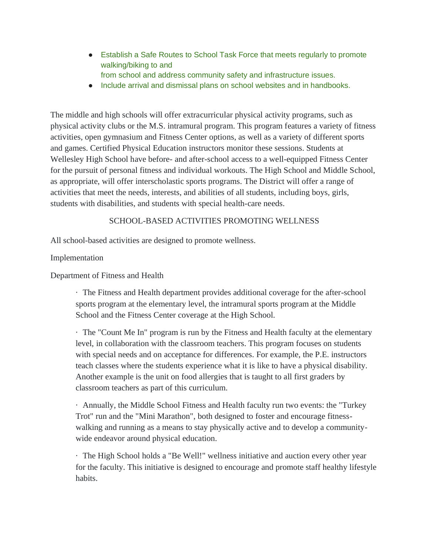- Establish a Safe Routes to School Task Force that meets regularly to promote walking/biking to and
	- from school and address community safety and infrastructure issues.
- Include arrival and dismissal plans on school websites and in handbooks.

The middle and high schools will offer extracurricular physical activity programs, such as physical activity clubs or the M.S. intramural program. This program features a variety of fitness activities, open gymnasium and Fitness Center options, as well as a variety of different sports and games. Certified Physical Education instructors monitor these sessions. Students at Wellesley High School have before- and after-school access to a well-equipped Fitness Center for the pursuit of personal fitness and individual workouts. The High School and Middle School, as appropriate, will offer interscholastic sports programs. The District will offer a range of activities that meet the needs, interests, and abilities of all students, including boys, girls, students with disabilities, and students with special health-care needs.

# SCHOOL-BASED ACTIVITIES PROMOTING WELLNESS

All school-based activities are designed to promote wellness.

# Implementation

Department of Fitness and Health

· The Fitness and Health department provides additional coverage for the after-school sports program at the elementary level, the intramural sports program at the Middle School and the Fitness Center coverage at the High School.

· The "Count Me In" program is run by the Fitness and Health faculty at the elementary level, in collaboration with the classroom teachers. This program focuses on students with special needs and on acceptance for differences. For example, the P.E. instructors teach classes where the students experience what it is like to have a physical disability. Another example is the unit on food allergies that is taught to all first graders by classroom teachers as part of this curriculum.

· Annually, the Middle School Fitness and Health faculty run two events: the "Turkey Trot" run and the "Mini Marathon", both designed to foster and encourage fitnesswalking and running as a means to stay physically active and to develop a communitywide endeavor around physical education.

· The High School holds a "Be Well!" wellness initiative and auction every other year for the faculty. This initiative is designed to encourage and promote staff healthy lifestyle habits.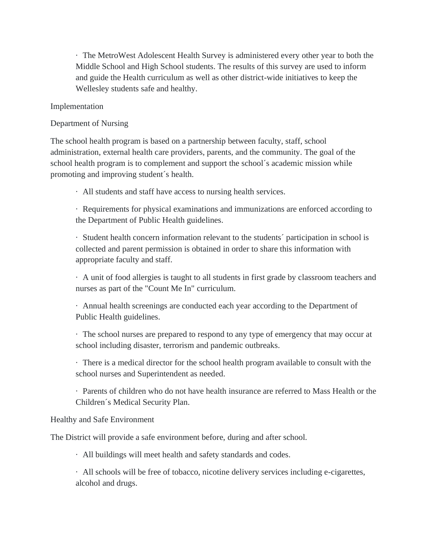· The MetroWest Adolescent Health Survey is administered every other year to both the Middle School and High School students. The results of this survey are used to inform and guide the Health curriculum as well as other district-wide initiatives to keep the Wellesley students safe and healthy.

# Implementation

### Department of Nursing

The school health program is based on a partnership between faculty, staff, school administration, external health care providers, parents, and the community. The goal of the school health program is to complement and support the school´s academic mission while promoting and improving student´s health.

· All students and staff have access to nursing health services.

· Requirements for physical examinations and immunizations are enforced according to the Department of Public Health guidelines.

· Student health concern information relevant to the students´ participation in school is collected and parent permission is obtained in order to share this information with appropriate faculty and staff.

· A unit of food allergies is taught to all students in first grade by classroom teachers and nurses as part of the "Count Me In" curriculum.

· Annual health screenings are conducted each year according to the Department of Public Health guidelines.

· The school nurses are prepared to respond to any type of emergency that may occur at school including disaster, terrorism and pandemic outbreaks.

· There is a medical director for the school health program available to consult with the school nurses and Superintendent as needed.

· Parents of children who do not have health insurance are referred to Mass Health or the Children´s Medical Security Plan.

### Healthy and Safe Environment

The District will provide a safe environment before, during and after school.

· All buildings will meet health and safety standards and codes.

· All schools will be free of tobacco, nicotine delivery services including e-cigarettes, alcohol and drugs.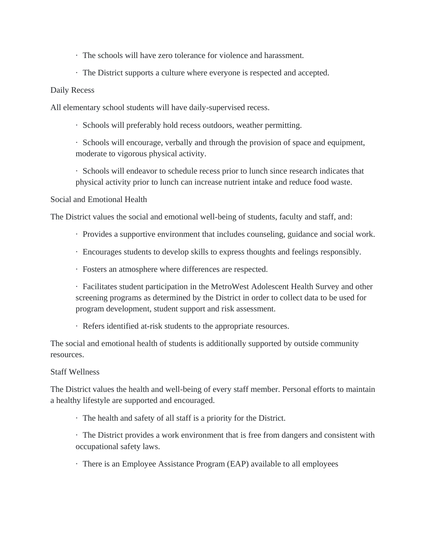- · The schools will have zero tolerance for violence and harassment.
- · The District supports a culture where everyone is respected and accepted.

### Daily Recess

All elementary school students will have daily-supervised recess.

· Schools will preferably hold recess outdoors, weather permitting.

· Schools will encourage, verbally and through the provision of space and equipment, moderate to vigorous physical activity.

· Schools will endeavor to schedule recess prior to lunch since research indicates that physical activity prior to lunch can increase nutrient intake and reduce food waste.

### Social and Emotional Health

The District values the social and emotional well-being of students, faculty and staff, and:

- · Provides a supportive environment that includes counseling, guidance and social work.
- · Encourages students to develop skills to express thoughts and feelings responsibly.
- · Fosters an atmosphere where differences are respected.

· Facilitates student participation in the MetroWest Adolescent Health Survey and other screening programs as determined by the District in order to collect data to be used for program development, student support and risk assessment.

· Refers identified at-risk students to the appropriate resources.

The social and emotional health of students is additionally supported by outside community resources.

### Staff Wellness

The District values the health and well-being of every staff member. Personal efforts to maintain a healthy lifestyle are supported and encouraged.

· The health and safety of all staff is a priority for the District.

· The District provides a work environment that is free from dangers and consistent with occupational safety laws.

· There is an Employee Assistance Program (EAP) available to all employees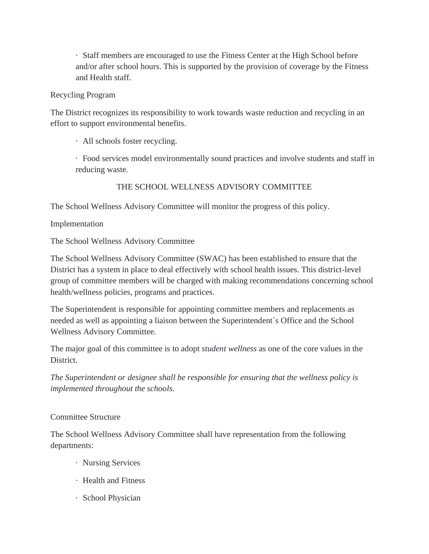· Staff members are encouraged to use the Fitness Center at the High School before and/or after school hours. This is supported by the provision of coverage by the Fitness and Health staff.

# Recycling Program

The District recognizes its responsibility to work towards waste reduction and recycling in an effort to support environmental benefits.

· All schools foster recycling.

· Food services model environmentally sound practices and involve students and staff in reducing waste.

THE SCHOOL WELLNESS ADVISORY COMMITTEE

The School Wellness Advisory Committee will monitor the progress of this policy.

Implementation

The School Wellness Advisory Committee

The School Wellness Advisory Committee (SWAC) has been established to ensure that the District has a system in place to deal effectively with school health issues. This district-level group of committee members will be charged with making recommendations concerning school health/wellness policies, programs and practices.

The Superintendent is responsible for appointing committee members and replacements as needed as well as appointing a liaison between the Superintendent´s Office and the School Wellness Advisory Committee.

The major goal of this committee is to adopt *student wellness* as one of the core values in the District.

*The Superintendent or designee shall be responsible for ensuring that the wellness policy is implemented throughout the schools.*

### Committee Structure

The School Wellness Advisory Committee shall have representation from the following departments:

- · Nursing Services
- · Health and Fitness
- · School Physician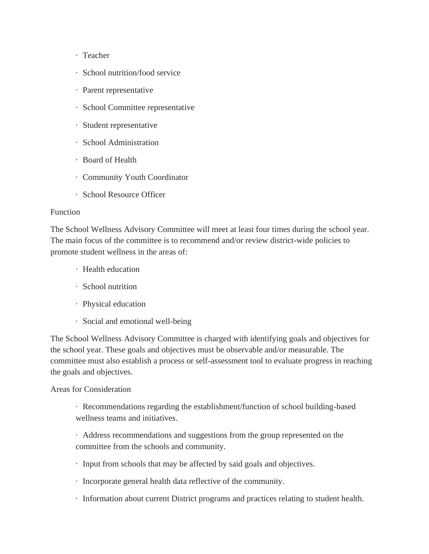- · Teacher
- · School nutrition/food service
- · Parent representative
- · School Committee representative
- · Student representative
- · School Administration
- · Board of Health
- · Community Youth Coordinator
- · School Resource Officer

### Function

The School Wellness Advisory Committee will meet at least four times during the school year. The main focus of the committee is to recommend and/or review district-wide policies to promote student wellness in the areas of:

- · Health education
- · School nutrition
- · Physical education
- · Social and emotional well-being

The School Wellness Advisory Committee is charged with identifying goals and objectives for the school year. These goals and objectives must be observable and/or measurable. The committee must also establish a process or self-assessment tool to evaluate progress in reaching the goals and objectives.

### Areas for Consideration

· Recommendations regarding the establishment/function of school building-based wellness teams and initiatives.

· Address recommendations and suggestions from the group represented on the committee from the schools and community.

- · Input from schools that may be affected by said goals and objectives.
- · Incorporate general health data reflective of the community.
- · Information about current District programs and practices relating to student health.